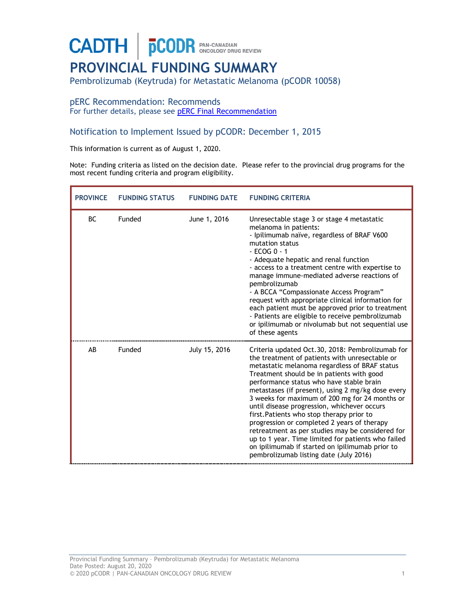## **CADTH** | **pCODR** PAN-CANADIAN **PROVINCIAL FUNDING SUMMARY**

Pembrolizumab (Keytruda) for Metastatic Melanoma (pCODR 10058)

## pERC Recommendation: Recommends

For further details, please see [pERC Final Recommendation](https://www.cadth.ca/sites/default/files/pcodr/pcodr_pembrolizumab_keytruda_mm_fn_rec.pdf)

## Notification to Implement Issued by pCODR: December 1, 2015

This information is current as of August 1, 2020.

Note: Funding criteria as listed on the decision date. Please refer to the provincial drug programs for the most recent funding criteria and program eligibility.

| <b>PROVINCE</b> | <b>FUNDING STATUS</b> | <b>FUNDING DATE</b> | <b>FUNDING CRITERIA</b>                                                                                                                                                                                                                                                                                                                                                                                                                                                                                                                                                                                                                                                                               |
|-----------------|-----------------------|---------------------|-------------------------------------------------------------------------------------------------------------------------------------------------------------------------------------------------------------------------------------------------------------------------------------------------------------------------------------------------------------------------------------------------------------------------------------------------------------------------------------------------------------------------------------------------------------------------------------------------------------------------------------------------------------------------------------------------------|
| BC.             | Funded                | June 1, 2016        | Unresectable stage 3 or stage 4 metastatic<br>melanoma in patients:<br>- Ipilimumab naïve, regardless of BRAF V600<br>mutation status<br>$-ECOGO-1$<br>- Adequate hepatic and renal function<br>- access to a treatment centre with expertise to<br>manage immune-mediated adverse reactions of<br>pembrolizumab<br>- A BCCA "Compassionate Access Program"<br>request with appropriate clinical information for<br>each patient must be approved prior to treatment<br>- Patients are eligible to receive pembrolizumab<br>or ipilimumab or nivolumab but not sequential use<br>of these agents                                                                                                      |
| AB              | Funded                | July 15, 2016       | Criteria updated Oct.30, 2018: Pembrolizumab for<br>the treatment of patients with unresectable or<br>metastatic melanoma regardless of BRAF status<br>Treatment should be in patients with good<br>performance status who have stable brain<br>metastases (if present), using 2 mg/kg dose every<br>3 weeks for maximum of 200 mg for 24 months or<br>until disease progression, whichever occurs<br>first. Patients who stop therapy prior to<br>progression or completed 2 years of therapy<br>retreatment as per studies may be considered for<br>up to 1 year. Time limited for patients who failed<br>on ipilimumab if started on ipilimumab prior to<br>pembrolizumab listing date (July 2016) |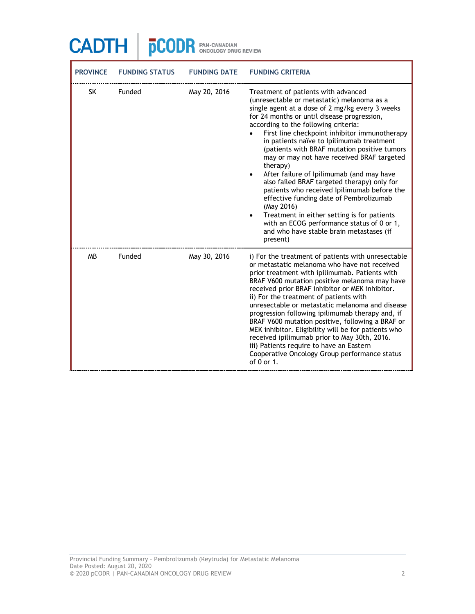| <b>PROVINCE</b> | <b>FUNDING STATUS</b> | <b>FUNDING DATE</b> | <b>FUNDING CRITERIA</b>                                                                                                                                                                                                                                                                                                                                                                                                                                                                                                                                                                                                                                                                                                                                                                                        |
|-----------------|-----------------------|---------------------|----------------------------------------------------------------------------------------------------------------------------------------------------------------------------------------------------------------------------------------------------------------------------------------------------------------------------------------------------------------------------------------------------------------------------------------------------------------------------------------------------------------------------------------------------------------------------------------------------------------------------------------------------------------------------------------------------------------------------------------------------------------------------------------------------------------|
| <b>SK</b>       | Funded                | May 20, 2016        | Treatment of patients with advanced<br>(unresectable or metastatic) melanoma as a<br>single agent at a dose of 2 mg/kg every 3 weeks<br>for 24 months or until disease progression,<br>according to the following criteria:<br>First line checkpoint inhibitor immunotherapy<br>in patients naïve to Ipilimumab treatment<br>(patients with BRAF mutation positive tumors<br>may or may not have received BRAF targeted<br>therapy)<br>After failure of Ipilimumab (and may have<br>$\bullet$<br>also failed BRAF targeted therapy) only for<br>patients who received Ipilimumab before the<br>effective funding date of Pembrolizumab<br>(May 2016)<br>Treatment in either setting is for patients<br>٠<br>with an ECOG performance status of 0 or 1,<br>and who have stable brain metastases (if<br>present) |
| <b>MB</b>       | Funded                | May 30, 2016        | i) For the treatment of patients with unresectable<br>or metastatic melanoma who have not received<br>prior treatment with ipilimumab. Patients with<br>BRAF V600 mutation positive melanoma may have<br>received prior BRAF inhibitor or MEK inhibitor.<br>ii) For the treatment of patients with<br>unresectable or metastatic melanoma and disease<br>progression following ipilimumab therapy and, if<br>BRAF V600 mutation positive, following a BRAF or<br>MEK inhibitor. Eligibility will be for patients who<br>received ipilimumab prior to May 30th, 2016.<br>iii) Patients require to have an Eastern<br>Cooperative Oncology Group performance status<br>of 0 or 1.                                                                                                                                |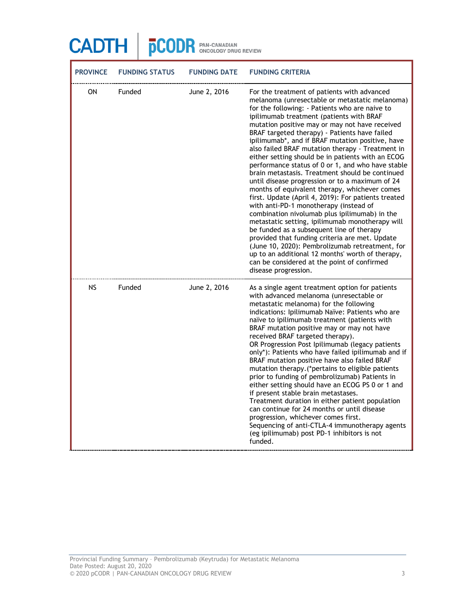| <b>PROVINCE</b> | <b>FUNDING STATUS</b> | <b>FUNDING DATE</b> | <b>FUNDING CRITERIA</b>                                                                                                                                                                                                                                                                                                                                                                                                                                                                                                                                                                                                                                                                                                                                                                                                                                                                                                                                                                                                                                                                                                                                   |
|-----------------|-----------------------|---------------------|-----------------------------------------------------------------------------------------------------------------------------------------------------------------------------------------------------------------------------------------------------------------------------------------------------------------------------------------------------------------------------------------------------------------------------------------------------------------------------------------------------------------------------------------------------------------------------------------------------------------------------------------------------------------------------------------------------------------------------------------------------------------------------------------------------------------------------------------------------------------------------------------------------------------------------------------------------------------------------------------------------------------------------------------------------------------------------------------------------------------------------------------------------------|
| ON              | Funded                | June 2, 2016        | For the treatment of patients with advanced<br>melanoma (unresectable or metastatic melanoma)<br>for the following: - Patients who are naive to<br>ipilimumab treatment (patients with BRAF<br>mutation positive may or may not have received<br>BRAF targeted therapy) - Patients have failed<br>ipilimumab*, and if BRAF mutation positive, have<br>also failed BRAF mutation therapy - Treatment in<br>either setting should be in patients with an ECOG<br>performance status of 0 or 1, and who have stable<br>brain metastasis. Treatment should be continued<br>until disease progression or to a maximum of 24<br>months of equivalent therapy, whichever comes<br>first. Update (April 4, 2019): For patients treated<br>with anti-PD-1 monotherapy (instead of<br>combination nivolumab plus ipilimumab) in the<br>metastatic setting, ipilimumab monotherapy will<br>be funded as a subsequent line of therapy<br>provided that funding criteria are met. Update<br>(June 10, 2020): Pembrolizumab retreatment, for<br>up to an additional 12 months' worth of therapy,<br>can be considered at the point of confirmed<br>disease progression. |
| <b>NS</b>       | Funded                | June 2, 2016        | As a single agent treatment option for patients<br>with advanced melanoma (unresectable or<br>metastatic melanoma) for the following<br>indications: Ipilimumab Naïve: Patients who are<br>naïve to ipilimumab treatment (patients with<br>BRAF mutation positive may or may not have<br>received BRAF targeted therapy).<br>OR Progression Post Ipilimumab (legacy patients<br>only*): Patients who have failed ipilimumab and if<br>BRAF mutation positive have also failed BRAF<br>mutation therapy. (*pertains to eligible patients<br>prior to funding of pembrolizumab) Patients in<br>either setting should have an ECOG PS 0 or 1 and<br>if present stable brain metastases.<br>Treatment duration in either patient population<br>can continue for 24 months or until disease<br>progression, whichever comes first.<br>Sequencing of anti-CTLA-4 immunotherapy agents<br>(eg ipilimumab) post PD-1 inhibitors is not<br>funded.                                                                                                                                                                                                                 |